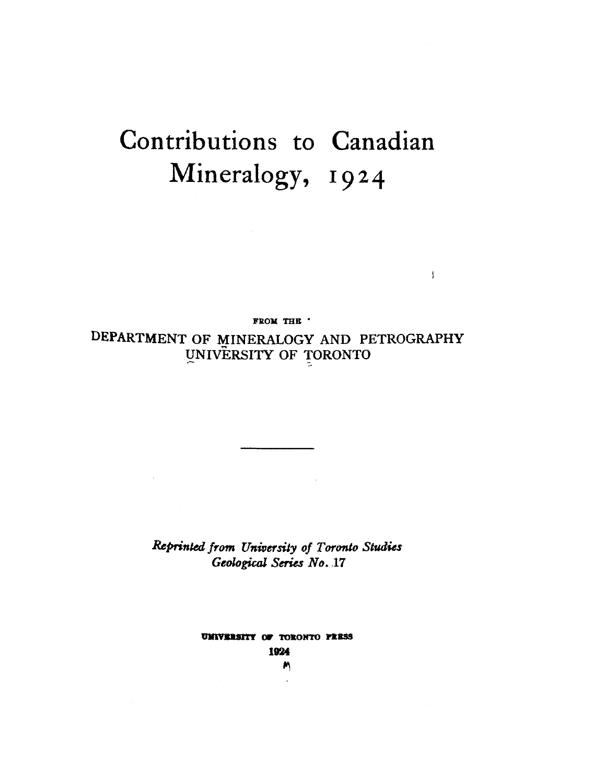## Contributions to Canadian Mineralogy, 1924

FROM THE '

ţ

DEPARTMENT OF MINERALOGY AND PETROGRAPHY UNIVERSITY OF TORONTO

> Reprinted from University of Toronto Studies Geological Series No. 17

> > UMIVERSITY OF TORONTO PRESS 1924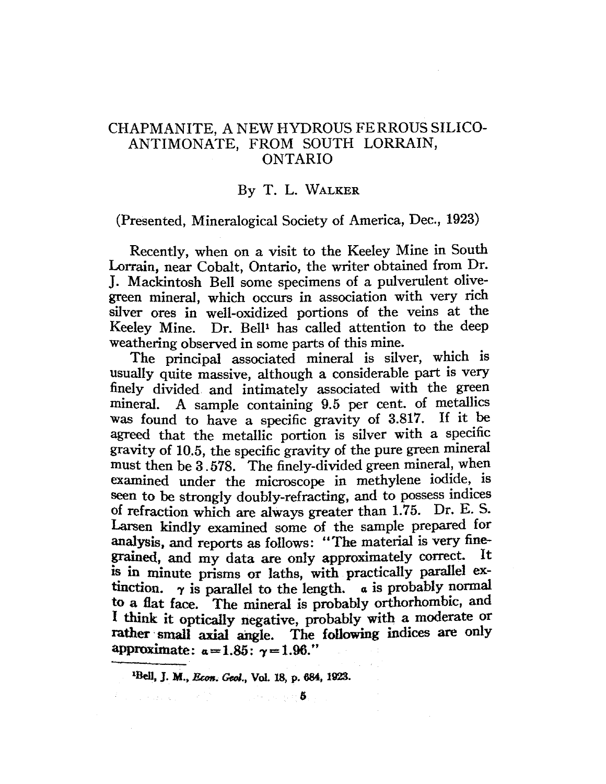## CHAPMANITE, A NEW HYDROUS FERROUS SILICO-ANTIMONATE, FROM SOUTH LORRAIN, ONTARIO

## By T. L. WALKER

(Presented, Mineralogical Society of America, Dec., 1923)

Recently, when on a visit to the Keeley Mine in South Lorrain, near Cobalt, Ontario, the writer obtained from Dr. J. Mackintosh Bell some specimens of a pulverulent olivegreen mineral, which occurs in association with very rich silver ores in well-oxidized portions of the veins at the Keeley Mine. Dr. Bell<sup>1</sup> has called attention to the deep weathering observed in some parts of this mine.

The principal associated mineral is silver, which is usually quite massive, although a considerable part is very finely divided and intimately associated with the green mineral. A sample containing 9.5 per cent. of metallics was found to have a specific gravity of 3.817. If it be agreed that the metallic portion is silver with a specific gravity of 10.5, the specific gravity of the pure green mineral must then be 3. 578. The finely-divided green mineral, when examined under the microscope in methylene iodide, is seen to be strongly doubly-refracting, and to possess indices of refraction which are always greater than 1.75. Dr. E. S. Larsen kindly examined some of the sample prepared for analysis, and reports as follows: "The material is very finegrained, and my data are only approximately correct. is in minute prisms or laths, with practically parallel extinction.  $\gamma$  is parallel to the length.  $\alpha$  is probably normal to a fiat face. The mineral is probably orthorhombic, and <sup>I</sup>think it optically negative, probably with a moderate or rather small axial angle. The following indices are only approximate:  $\alpha = 1.85$ :  $\gamma = 1.96$ ."

<sup>&</sup>lt;sup>1</sup>Bell, J. M., *Econ. Geol.*, Vol. 18, p. 684, 1923.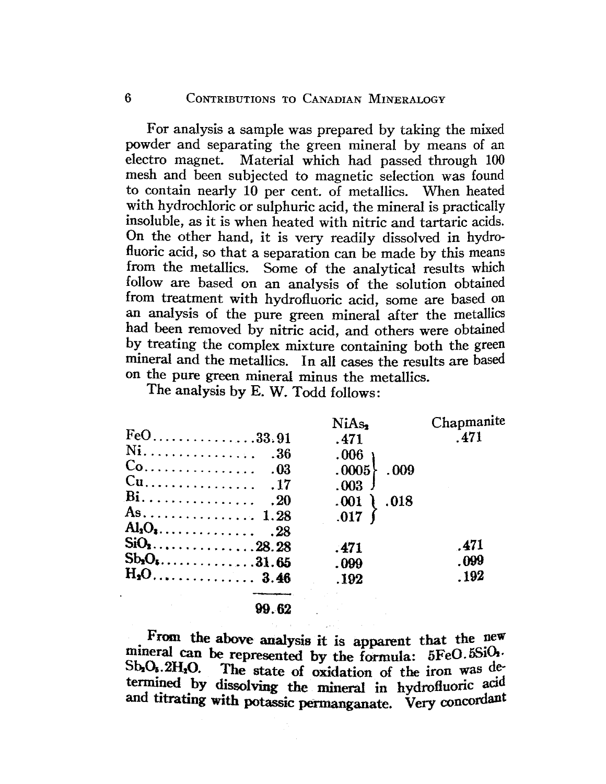For analysis a sample was prepared by taking the mixed powder and separating the green mineral by means of an electro magnet. Material which had passed through 100 mesh and been subjected to magnetic selection was found to contain nearly 10 per cent. of metallics. When heated with hydrochloric or sulphuric acid, the mineral is practically insoluble, as it is when heated with nitric and tartaric acids. On the other hand, it is very readily dissolved in hydrofluoric acid, so that a separation can be made by this means from the metallics. Some of the analytical results which follow are based on an analysis of the solution obtained from treatment with hydrofluoric acid, some are based on an analysis of the pure green mineral after the metallics had been removed by nitric acid, and others were obtained by treating the complex mixture containing both the green mineral and the metallics. In all cases the results are based on the pure green mineral minus the metallics.

The analysis by E. W. Todd follows:

|              | NiAs,             | Chapmanite |
|--------------|-------------------|------------|
| $FeO$ 33.91  | .471              | .471       |
|              | .006 <sub>1</sub> |            |
|              | .0005<br>.009     |            |
|              | .003              |            |
|              | $.001$ $).018$    |            |
| As 1.28      | $.017$ )          |            |
|              |                   |            |
| $SiO2$ 28.28 | .471              | .471       |
|              | .099              | .099       |
|              | .192              | - 192      |
|              |                   |            |
|              |                   |            |

99.62

From the above analysis it is apparent that the new mineral can be represented by the formula: 5FeO.5SiO.  $Sb_2O_5$ . 2H<sub>2</sub>O. The state of oxidation of the iron was determined by dissolving the mineral in hydrofluoric acid and titrating with potassic permanganate. Very concordant

 $\mathbf{f}$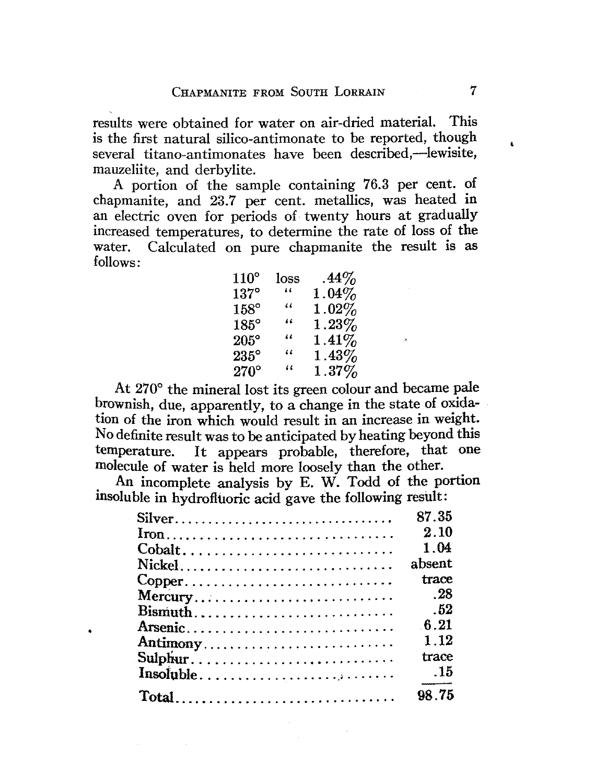results were obtained for water on air-dried material. This is the first natural silico-antimonate to be reported, though several titano-antimonates have been described,-lewisite, mauzeliite, and derbylite.

A portion of the sample containing 76.3 per cent. of chapmanite, and 23.7 per cent. metallics, was heated in an electric oven for periods of twenty hours at gradually increased temperatures, to determine the rate of loss of the water. Calculated on pure chapmanite the result is as follows:

| $110^{\circ}$ | loss                 | $.44\%$  |
|---------------|----------------------|----------|
| $137^{\circ}$ | 44                   | $1.04\%$ |
| $158^\circ$   | 66                   | $1.02\%$ |
| $185^\circ$   | 46                   | $1.23\%$ |
| $205^\circ$   | 44                   | $1.41\%$ |
| $235^{\circ}$ | $\ddot{\phantom{0}}$ | $1.43\%$ |
| $270^\circ$   | 11                   | $1.37\%$ |

At 270° the mineral lost its green colour and became pale brownish, due, apparently, to a change in the state of oxidation of the iron which would result in an increase in weight. No definite result was to be anticipated by heating beyond this temperature. It appears probable, therefore, that one molecule of water is held more loosely than the other.

. An incomplete analysis by E. W. Todd of the portion msoluble in hydrofltioric acid gave the following result:

| Silver                                                                         | 87.35  |
|--------------------------------------------------------------------------------|--------|
| $\text{Iron}\dots \dots \dots \dots \dots \dots \dots \dots \dots \dots \dots$ | 2.10   |
| Cobalt                                                                         | 1.04   |
|                                                                                | absent |
| Copper                                                                         | trace  |
| Mercury                                                                        | . 28   |
| $Bismuth \ldots \ldots \ldots \ldots \ldots \ldots \ldots \ldots$              | .52    |
| Arsenic                                                                        | 6.21   |
| Antimony                                                                       | 1.12   |
| Sulphur                                                                        | trace  |
|                                                                                | $-15$  |
|                                                                                | 98.75  |

•